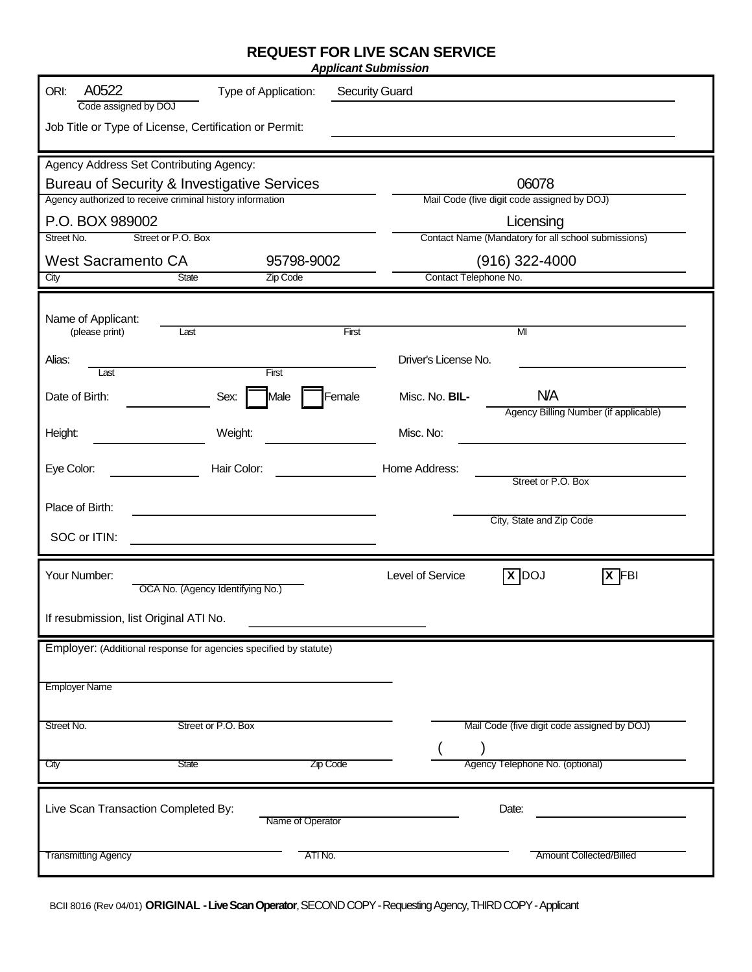## **REQUEST FOR LIVE SCAN SERVICE**

| A0522<br>ORI:<br><b>Security Guard</b><br>Type of Application:<br>Code assigned by DOJ                   |                |                                                      |                                             |  |  |  |
|----------------------------------------------------------------------------------------------------------|----------------|------------------------------------------------------|---------------------------------------------|--|--|--|
| Job Title or Type of License, Certification or Permit:                                                   |                |                                                      |                                             |  |  |  |
| Agency Address Set Contributing Agency:                                                                  |                |                                                      |                                             |  |  |  |
| Bureau of Security & Investigative Services<br>Agency authorized to receive criminal history information |                | 06078<br>Mail Code (five digit code assigned by DOJ) |                                             |  |  |  |
| P.O. BOX 989002                                                                                          |                | Licensing                                            |                                             |  |  |  |
| Street No.<br>Street or P.O. Box                                                                         |                | Contact Name (Mandatory for all school submissions)  |                                             |  |  |  |
| <b>West Sacramento CA</b>                                                                                | 95798-9002     |                                                      | $(916)$ 322-4000                            |  |  |  |
| <b>State</b><br>City                                                                                     | Zip Code       | Contact Telephone No.                                |                                             |  |  |  |
| Name of Applicant:                                                                                       |                |                                                      |                                             |  |  |  |
| (please print)<br>Last                                                                                   | First          |                                                      | MI                                          |  |  |  |
| Alias:<br>Last                                                                                           | First          | Driver's License No.                                 |                                             |  |  |  |
| Date of Birth:<br>Sex:                                                                                   | Female<br>Male | Misc. No. BIL-                                       | <b>N/A</b>                                  |  |  |  |
| Height:<br>Weight:                                                                                       |                | Misc. No:                                            | Agency Billing Number (if applicable)       |  |  |  |
|                                                                                                          |                |                                                      |                                             |  |  |  |
| Eye Color:<br>Hair Color:                                                                                |                | Home Address:                                        | Street or P.O. Box                          |  |  |  |
| Place of Birth:                                                                                          |                |                                                      |                                             |  |  |  |
| SOC or ITIN:                                                                                             |                |                                                      | City, State and Zip Code                    |  |  |  |
| Your Number:<br>OCA No. (Agency Identifying No.)                                                         |                | Level of Service                                     | $X$ DOJ<br>$\sqrt{X}$ FBI                   |  |  |  |
| If resubmission, list Original ATI No.                                                                   |                |                                                      |                                             |  |  |  |
| Employer: (Additional response for agencies specified by statute)                                        |                |                                                      |                                             |  |  |  |
| <b>Employer Name</b>                                                                                     |                |                                                      |                                             |  |  |  |
|                                                                                                          |                |                                                      |                                             |  |  |  |
| Street or P.O. Box<br>Street No.                                                                         |                |                                                      | Mail Code (five digit code assigned by DOJ) |  |  |  |
| <b>State</b><br>City                                                                                     | Zip Code       |                                                      | Agency Telephone No. (optional)             |  |  |  |
| Live Scan Transaction Completed By:<br>Date:<br>Name of Operator                                         |                |                                                      |                                             |  |  |  |
| <b>Transmitting Agency</b>                                                                               | ATI No.        |                                                      | <b>Amount Collected/Billed</b>              |  |  |  |

BCII 8016 (Rev 04/01) **ORIGINAL -Live Scan Operator**, SECOND COPY -Requesting Agency, THIRD COPY -Applicant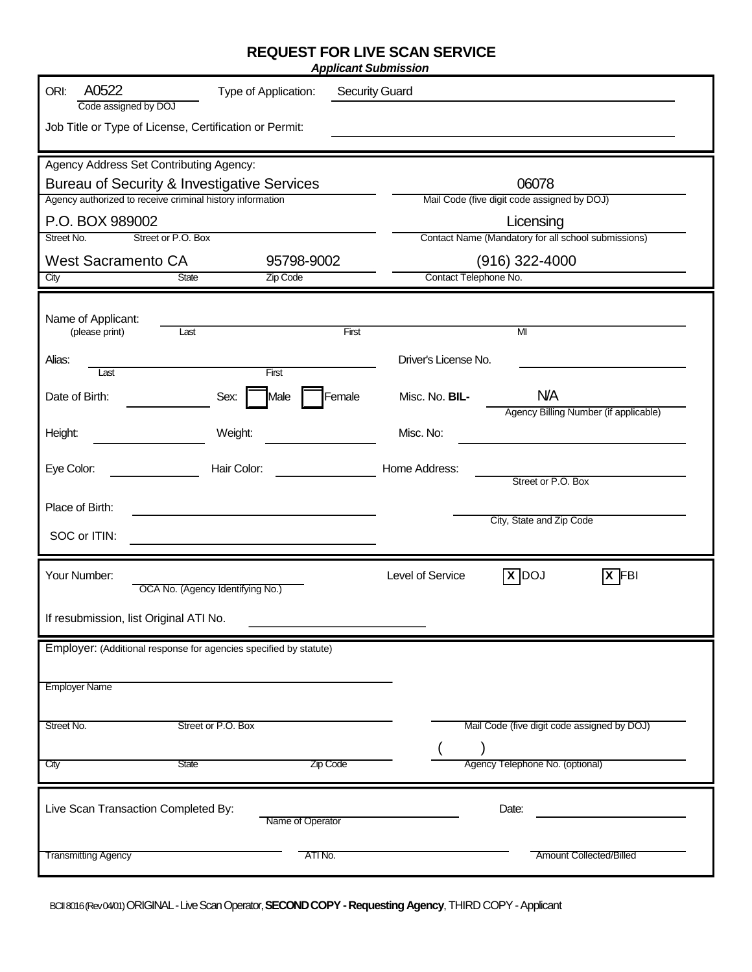## **REQUEST FOR LIVE SCAN SERVICE**

| A0522<br>ORI:<br><b>Security Guard</b><br>Type of Application:<br>Code assigned by DOJ          |                |                                             |                                                     |  |  |  |
|-------------------------------------------------------------------------------------------------|----------------|---------------------------------------------|-----------------------------------------------------|--|--|--|
| Job Title or Type of License, Certification or Permit:                                          |                |                                             |                                                     |  |  |  |
| Agency Address Set Contributing Agency:<br>Bureau of Security & Investigative Services<br>06078 |                |                                             |                                                     |  |  |  |
| Agency authorized to receive criminal history information                                       |                | Mail Code (five digit code assigned by DOJ) |                                                     |  |  |  |
| P.O. BOX 989002                                                                                 |                | Licensing                                   |                                                     |  |  |  |
| Street No.<br>Street or P.O. Box                                                                |                |                                             | Contact Name (Mandatory for all school submissions) |  |  |  |
| <b>West Sacramento CA</b>                                                                       | 95798-9002     | $(916)$ 322-4000                            |                                                     |  |  |  |
| State<br>City                                                                                   | Zip Code       | Contact Telephone No.                       |                                                     |  |  |  |
| Name of Applicant:                                                                              |                |                                             |                                                     |  |  |  |
| (please print)<br>Last                                                                          | First          |                                             | M <sub>l</sub>                                      |  |  |  |
| Alias:<br>Last                                                                                  | First          | Driver's License No.                        |                                                     |  |  |  |
| Date of Birth:<br>Sex:                                                                          | Female<br>Male | Misc. No. BIL-                              | <b>N/A</b><br>Agency Billing Number (if applicable) |  |  |  |
| Weight:<br>Height:                                                                              |                | Misc. No:                                   |                                                     |  |  |  |
| Eye Color:<br>Hair Color:                                                                       |                | Home Address:                               | Street or P.O. Box                                  |  |  |  |
| Place of Birth:                                                                                 |                |                                             |                                                     |  |  |  |
| SOC or ITIN:                                                                                    |                |                                             | City, State and Zip Code                            |  |  |  |
|                                                                                                 |                |                                             |                                                     |  |  |  |
| Your Number:<br>OCA No. (Agency Identifying No.)                                                |                | Level of Service                            | $X$ DOJ<br>$\overline{X}$ FBI                       |  |  |  |
| If resubmission, list Original ATI No.                                                          |                |                                             |                                                     |  |  |  |
| Employer: (Additional response for agencies specified by statute)                               |                |                                             |                                                     |  |  |  |
| <b>Employer Name</b>                                                                            |                |                                             |                                                     |  |  |  |
|                                                                                                 |                |                                             |                                                     |  |  |  |
| Street or P.O. Box<br>Street No.                                                                |                |                                             | Mail Code (five digit code assigned by DOJ)         |  |  |  |
| State<br>City                                                                                   | Zip Code       |                                             | Agency Telephone No. (optional)                     |  |  |  |
| Live Scan Transaction Completed By:<br>Date:<br>Name of Operator                                |                |                                             |                                                     |  |  |  |
| <b>Transmitting Agency</b>                                                                      | ATI No.        |                                             | <b>Amount Collected/Billed</b>                      |  |  |  |

BCII 8016 (Rev 04/01) ORIGINAL -Live Scan Operator, **SECOND COPY -Requesting Agency**, THIRD COPY -Applicant